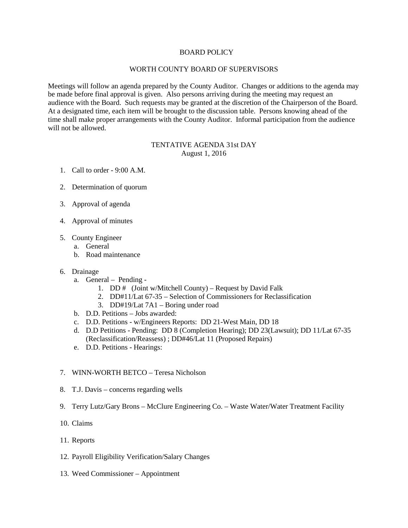# BOARD POLICY

# WORTH COUNTY BOARD OF SUPERVISORS

Meetings will follow an agenda prepared by the County Auditor. Changes or additions to the agenda may be made before final approval is given. Also persons arriving during the meeting may request an audience with the Board. Such requests may be granted at the discretion of the Chairperson of the Board. At a designated time, each item will be brought to the discussion table. Persons knowing ahead of the time shall make proper arrangements with the County Auditor. Informal participation from the audience will not be allowed.

# TENTATIVE AGENDA 31st DAY August 1, 2016

- 1. Call to order 9:00 A.M.
- 2. Determination of quorum
- 3. Approval of agenda
- 4. Approval of minutes
- 5. County Engineer
	- a. General
	- b. Road maintenance

# 6. Drainage

- a. General Pending
	- 1. DD # (Joint w/Mitchell County) Request by David Falk
	- 2. DD#11/Lat 67-35 Selection of Commissioners for Reclassification
	- 3. DD#19/Lat 7A1 Boring under road
- b. D.D. Petitions Jobs awarded:
- c. D.D. Petitions w/Engineers Reports: DD 21-West Main, DD 18
- d. D.D Petitions Pending: DD 8 (Completion Hearing); DD 23(Lawsuit); DD 11/Lat 67-35 (Reclassification/Reassess) ; DD#46/Lat 11 (Proposed Repairs)
- e. D.D. Petitions Hearings:

#### 7. WINN-WORTH BETCO – Teresa Nicholson

- 8. T.J. Davis concerns regarding wells
- 9. Terry Lutz/Gary Brons McClure Engineering Co. Waste Water/Water Treatment Facility
- 10. Claims
- 11. Reports
- 12. Payroll Eligibility Verification/Salary Changes
- 13. Weed Commissioner Appointment